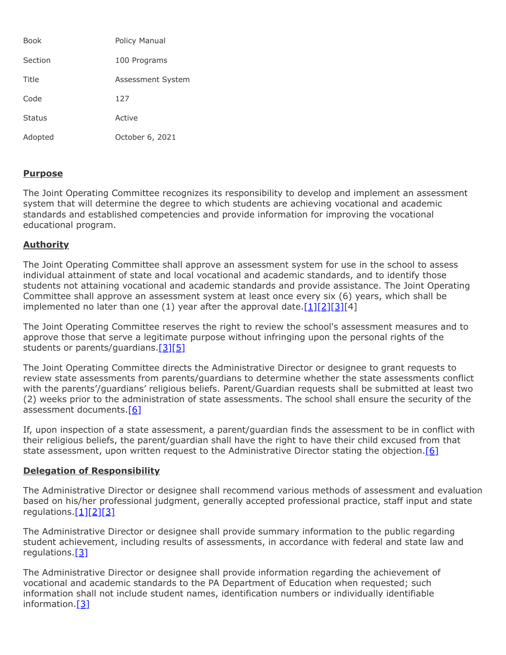| <b>Book</b>   | <b>Policy Manual</b> |
|---------------|----------------------|
| Section       | 100 Programs         |
| Title         | Assessment System    |
| Code          | 127                  |
| <b>Status</b> | Active               |
| Adopted       | October 6, 2021      |

## **Purpose**

The Joint Operating Committee recognizes its responsibility to develop and implement an assessment system that will determine the degree to which students are achieving vocational and academic standards and established competencies and provide information for improving the vocational educational program.

## **Authority**

The Joint Operating Committee shall approve an assessment system for use in the school to assess individual attainment of state and local vocational and academic standards, and to identify those students not attaining vocational and academic standards and provide assistance. The Joint Operating Committee shall approve an assessment system at least once every six (6) years, which shall be implemented no later than one (1) year after the approval date. $[1][2][3][4]$  $[1][2][3][4]$  $[1][2][3][4]$  $[1][2][3][4]$ 

The Joint Operating Committee reserves the right to review the school's assessment measures and to approve those that serve a legitimate purpose without infringing upon the personal rights of the students or parents/guardians.[\[3\]](http://pacodeandbulletin.gov/Display/pacode?file=/secure/pacode/data/022/chapter4/s4.52.html&d=reduce)[\[5\]](http://pacodeandbulletin.gov/Display/pacode?file=/secure/pacode/data/022/chapter12/s12.41.html&d=reduce)

The Joint Operating Committee directs the Administrative Director or designee to grant requests to review state assessments from parents/guardians to determine whether the state assessments conflict with the parents'/guardians' religious beliefs. Parent/Guardian requests shall be submitted at least two (2) weeks prior to the administration of state assessments. The school shall ensure the security of the assessment documents.[\[6\]](http://pacodeandbulletin.gov/Display/pacode?file=/secure/pacode/data/022/chapter4/s4.4.html&d=reduce)

If, upon inspection of a state assessment, a parent/guardian finds the assessment to be in conflict with their religious beliefs, the parent/guardian shall have the right to have their child excused from that state assessment, upon written request to the Administrative Director stating the objection.  $[6]$ 

## **Delegation of Responsibility**

The Administrative Director or designee shall recommend various methods of assessment and evaluation based on his/her professional judgment, generally accepted professional practice, staff input and state regulations[.\[1\]](http://pacodeandbulletin.gov/Display/pacode?file=/secure/pacode/data/022/chapter4/s4.12.html&d=reduce)[\[2\]](http://pacodeandbulletin.gov/Display/pacode?file=/secure/pacode/data/022/chapter4/s4.51.html&d=reduce)[\[3\]](http://pacodeandbulletin.gov/Display/pacode?file=/secure/pacode/data/022/chapter4/s4.52.html&d=reduce)

The Administrative Director or designee shall provide summary information to the public regarding student achievement, including results of assessments, in accordance with federal and state law and regulations[.\[3\]](http://pacodeandbulletin.gov/Display/pacode?file=/secure/pacode/data/022/chapter4/s4.52.html&d=reduce)

The Administrative Director or designee shall provide information regarding the achievement of vocational and academic standards to the PA Department of Education when requested; such information shall not include student names, identification numbers or individually identifiable information.[\[3\]](http://pacodeandbulletin.gov/Display/pacode?file=/secure/pacode/data/022/chapter4/s4.52.html&d=reduce)